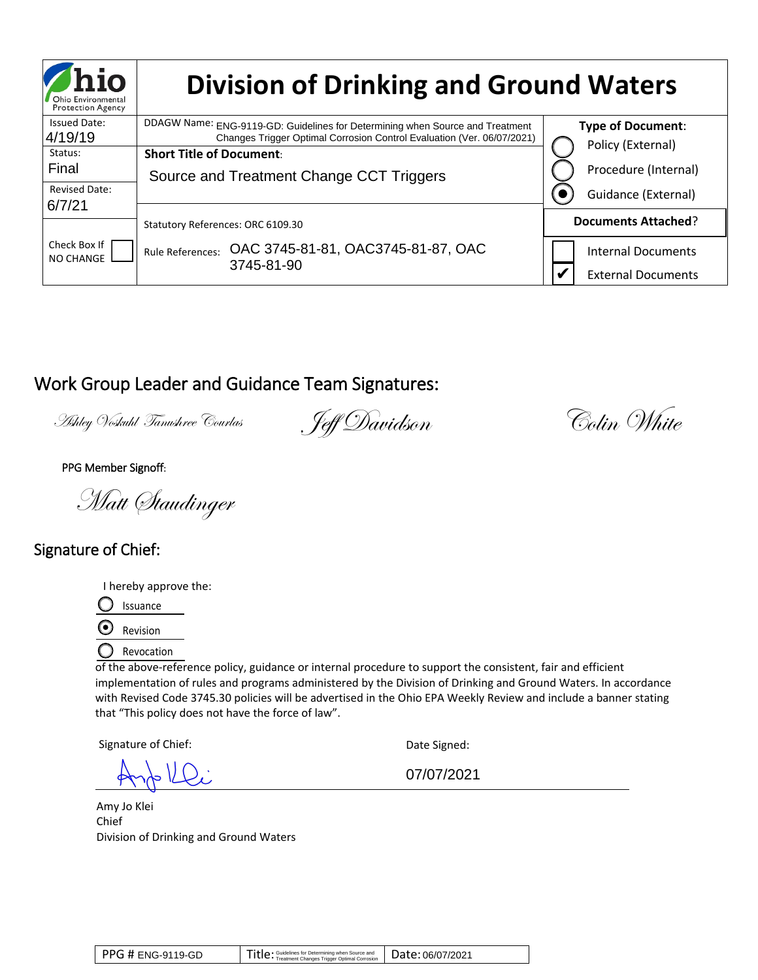| <b>Protection Agency</b><br><b>Issued Date:</b> |                                                    |                                                                                                                                                                                                                                    |                                               |
|-------------------------------------------------|----------------------------------------------------|------------------------------------------------------------------------------------------------------------------------------------------------------------------------------------------------------------------------------------|-----------------------------------------------|
| 4/19/19                                         |                                                    | DDAGW Name: ENG-9119-GD: Guidelines for Determining when Source and Treatment<br>Changes Trigger Optimal Corrosion Control Evaluation (Ver. 06/07/2021)                                                                            | <b>Type of Document:</b><br>Policy (External) |
| Status:<br>Final                                | <b>Short Title of Document:</b>                    |                                                                                                                                                                                                                                    |                                               |
| <b>Revised Date:</b>                            |                                                    | Source and Treatment Change CCT Triggers                                                                                                                                                                                           | Procedure (Internal)                          |
| 6/7/21                                          |                                                    |                                                                                                                                                                                                                                    | Guidance (External)                           |
|                                                 | Statutory References: ORC 6109.30                  |                                                                                                                                                                                                                                    | <b>Documents Attached?</b>                    |
| Check Box If<br>NO CHANGE                       |                                                    | Rule References: OAC 3745-81-81, OAC3745-81-87, OAC                                                                                                                                                                                | <b>Internal Documents</b>                     |
|                                                 |                                                    | 3745-81-90                                                                                                                                                                                                                         | <b>External Documents</b>                     |
|                                                 | Ashley Voskuhl Tanushree Courlas                   | Work Group Leader and Guidance Team Signatures:<br>. Jeff Davidson                                                                                                                                                                 | Colin White                                   |
| PPG Member Signoff:                             |                                                    |                                                                                                                                                                                                                                    |                                               |
|                                                 |                                                    |                                                                                                                                                                                                                                    |                                               |
|                                                 | Matt Staudinger                                    |                                                                                                                                                                                                                                    |                                               |
|                                                 |                                                    |                                                                                                                                                                                                                                    |                                               |
|                                                 |                                                    |                                                                                                                                                                                                                                    |                                               |
| Signature of Chief:                             |                                                    |                                                                                                                                                                                                                                    |                                               |
|                                                 |                                                    |                                                                                                                                                                                                                                    |                                               |
|                                                 | I hereby approve the:<br>Issuance                  |                                                                                                                                                                                                                                    |                                               |
| $\ddot{\mathbf{Q}}$                             | Revision                                           |                                                                                                                                                                                                                                    |                                               |
|                                                 | Revocation                                         |                                                                                                                                                                                                                                    |                                               |
|                                                 |                                                    | of the above-reference policy, guidance or internal procedure to support the consistent, fair and efficient                                                                                                                        |                                               |
|                                                 |                                                    | implementation of rules and programs administered by the Division of Drinking and Ground Waters. In accordance<br>with Revised Code 3745.30 policies will be advertised in the Ohio EPA Weekly Review and include a banner stating |                                               |
|                                                 | that "This policy does not have the force of law". |                                                                                                                                                                                                                                    |                                               |
|                                                 | Signature of Chief:                                | Date Signed:                                                                                                                                                                                                                       |                                               |
|                                                 |                                                    | 07/07/2021                                                                                                                                                                                                                         |                                               |
|                                                 |                                                    |                                                                                                                                                                                                                                    |                                               |
| Amy Jo Klei<br>Chief                            |                                                    |                                                                                                                                                                                                                                    |                                               |
|                                                 | Division of Drinking and Ground Waters             |                                                                                                                                                                                                                                    |                                               |
|                                                 |                                                    |                                                                                                                                                                                                                                    |                                               |
|                                                 |                                                    |                                                                                                                                                                                                                                    |                                               |

# Work Group Leader and Guidance Team Signatures:

# Signature of Chief:

| <b>PPG # ENG-9119-GD</b> | Title: Guidelines for Determining when Source and Date: 06/07/2021 |  |
|--------------------------|--------------------------------------------------------------------|--|
|--------------------------|--------------------------------------------------------------------|--|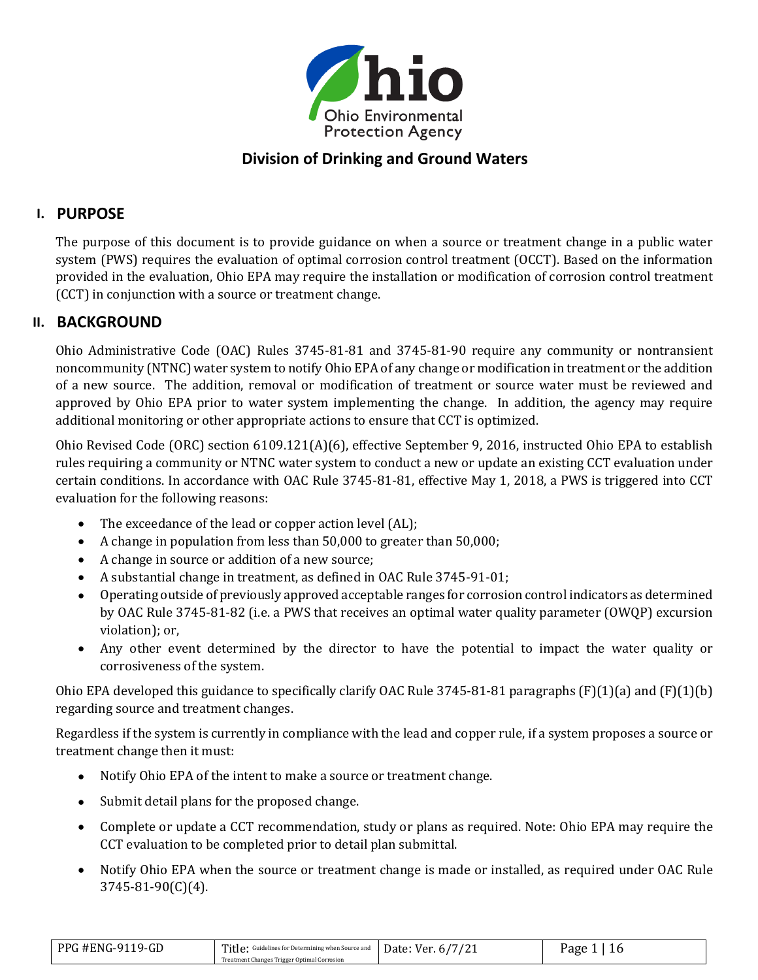

# **Division of Drinking and Ground Waters**

### **I. PURPOSE**

The purpose of this document is to provide guidance on when a source or treatment change in a public water system (PWS) requires the evaluation of optimal corrosion control treatment (OCCT). Based on the information provided in the evaluation, Ohio EPA may require the installation or modification of corrosion control treatment (CCT) in conjunction with a source or treatment change.

#### **II. BACKGROUND**

Ohio Administrative Code (OAC) Rules 3745-81-81 and 3745-81-90 require any community or nontransient noncommunity (NTNC) water system to notify Ohio EPA of any change or modification in treatment or the addition of a new source. The addition, removal or modification of treatment or source water must be reviewed and approved by Ohio EPA prior to water system implementing the change. In addition, the agency may require additional monitoring or other appropriate actions to ensure that CCT is optimized.

Ohio Revised Code (ORC) section 6109.121(A)(6), effective September 9, 2016, instructed Ohio EPA to establish rules requiring a community or NTNC water system to conduct a new or update an existing CCT evaluation under certain conditions. In accordance with OAC Rule 3745-81-81, effective May 1, 2018, a PWS is triggered into CCT evaluation for the following reasons:

- The exceedance of the lead or copper action level (AL);
- A change in population from less than 50,000 to greater than 50,000;
- A change in source or addition of a new source;
- A substantial change in treatment, as defined in OAC Rule 3745-91-01;
- Operating outside of previously approved acceptable ranges for corrosion control indicators as determined by OAC Rule 3745-81-82 (i.e. a PWS that receives an optimal water quality parameter (OWQP) excursion violation); or,
- Any other event determined by the director to have the potential to impact the water quality or corrosiveness of the system.

Ohio EPA developed this guidance to specifically clarify OAC Rule 3745-81-81 paragraphs (F)(1)(a) and (F)(1)(b) regarding source and treatment changes.

Regardless if the system is currently in compliance with the lead and copper rule, if a system proposes a source or treatment change then it must:

- Notify Ohio EPA of the intent to make a source or treatment change.
- Submit detail plans for the proposed change.
- Complete or update a CCT recommendation, study or plans as required. Note: Ohio EPA may require the CCT evaluation to be completed prior to detail plan submittal.
- Notify Ohio EPA when the source or treatment change is made or installed, as required under OAC Rule 3745-81-90(C)(4).

| PPG #ENG-9119-GD | Title: Guidelines for Determining when Source and Date: Ver. 6/7/21 | Page ' |
|------------------|---------------------------------------------------------------------|--------|
|                  | Treatment Changes Trigger Optimal Corrosion                         |        |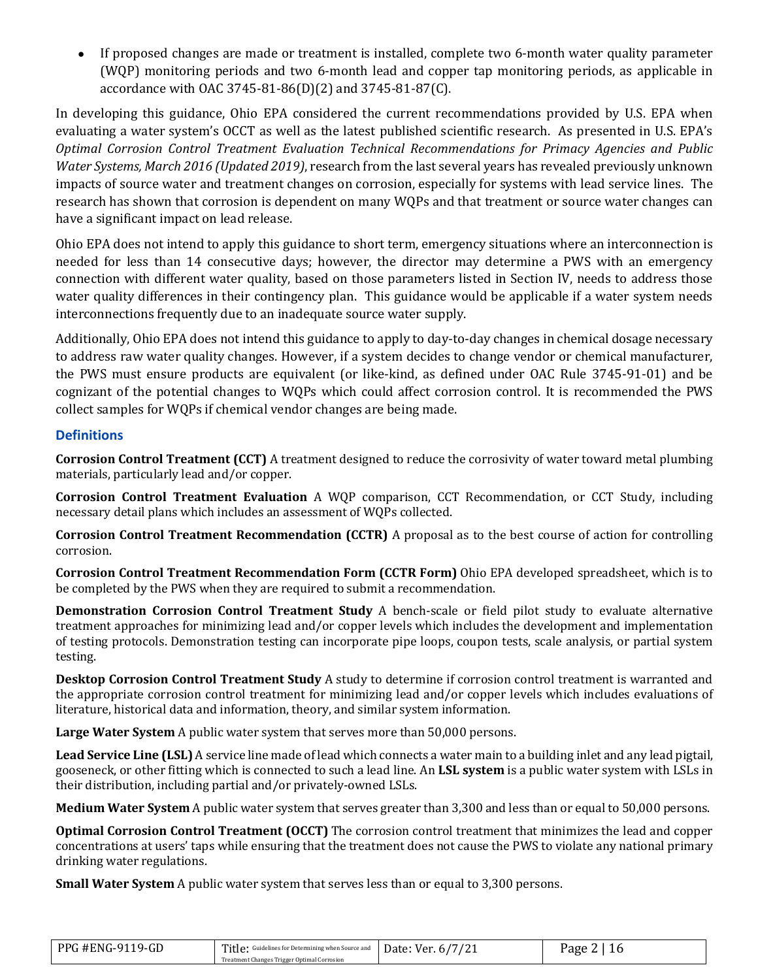• If proposed changes are made or treatment is installed, complete two 6-month water quality parameter (WQP) monitoring periods and two 6-month lead and copper tap monitoring periods, as applicable in accordance with OAC 3745-81-86(D)(2) and 3745-81-87(C).

In developing this guidance, Ohio EPA considered the current recommendations provided by U.S. EPA when evaluating a water system's OCCT as well as the latest published scientific research. As presented in U.S. EPA's *Optimal Corrosion Control Treatment Evaluation Technical Recommendations for Primacy Agencies and Public Water Systems, March 2016 (Updated 2019)*, research from the last several years has revealed previously unknown impacts of source water and treatment changes on corrosion, especially for systems with lead service lines. The research has shown that corrosion is dependent on many WQPs and that treatment or source water changes can have a significant impact on lead release.

Ohio EPA does not intend to apply this guidance to short term, emergency situations where an interconnection is needed for less than 14 consecutive days; however, the director may determine a PWS with an emergency connection with different water quality, based on those parameters listed in Section IV, needs to address those water quality differences in their contingency plan. This guidance would be applicable if a water system needs interconnections frequently due to an inadequate source water supply.

Additionally, Ohio EPA does not intend this guidance to apply to day-to-day changes in chemical dosage necessary to address raw water quality changes. However, if a system decides to change vendor or chemical manufacturer, the PWS must ensure products are equivalent (or like-kind, as defined under OAC Rule 3745-91-01) and be cognizant of the potential changes to WQPs which could affect corrosion control. It is recommended the PWS collect samples for WQPs if chemical vendor changes are being made.

#### **Definitions**

**Corrosion Control Treatment (CCT)** A treatment designed to reduce the corrosivity of water toward metal plumbing materials, particularly lead and/or copper.

**Corrosion Control Treatment Evaluation** A WQP comparison, CCT Recommendation, or CCT Study, including necessary detail plans which includes an assessment of WQPs collected.

**Corrosion Control Treatment Recommendation (CCTR)** A proposal as to the best course of action for controlling corrosion.

**Corrosion Control Treatment Recommendation Form (CCTR Form)** Ohio EPA developed spreadsheet, which is to be completed by the PWS when they are required to submit a recommendation.

**Demonstration Corrosion Control Treatment Study** A bench-scale or field pilot study to evaluate alternative treatment approaches for minimizing lead and/or copper levels which includes the development and implementation of testing protocols. Demonstration testing can incorporate pipe loops, coupon tests, scale analysis, or partial system testing.

**Desktop Corrosion Control Treatment Study** A study to determine if corrosion control treatment is warranted and the appropriate corrosion control treatment for minimizing lead and/or copper levels which includes evaluations of literature, historical data and information, theory, and similar system information.

**Large Water System** A public water system that serves more than 50,000 persons.

**Lead Service Line (LSL)** A service line made of lead which connects a water main to a building inlet and any lead pigtail, gooseneck, or other fitting which is connected to such a lead line. An **LSL system** is a public water system with LSLs in their distribution, including partial and/or privately-owned LSLs.

**Medium Water System** A public water system that serves greater than 3,300 and less than or equal to 50,000 persons.

**Optimal Corrosion Control Treatment (OCCT)** The corrosion control treatment that minimizes the lead and copper concentrations at users' taps while ensuring that the treatment does not cause the PWS to violate any national primary drinking water regulations.

**Small Water System** A public water system that serves less than or equal to 3,300 persons.

| PPG #ENG-9119-GD | Title: Guidelines for Determining when Source and Date: Ver. 6/7/21<br>Treatment Changes Trigger Optimal Corrosion | Page |
|------------------|--------------------------------------------------------------------------------------------------------------------|------|
|                  |                                                                                                                    |      |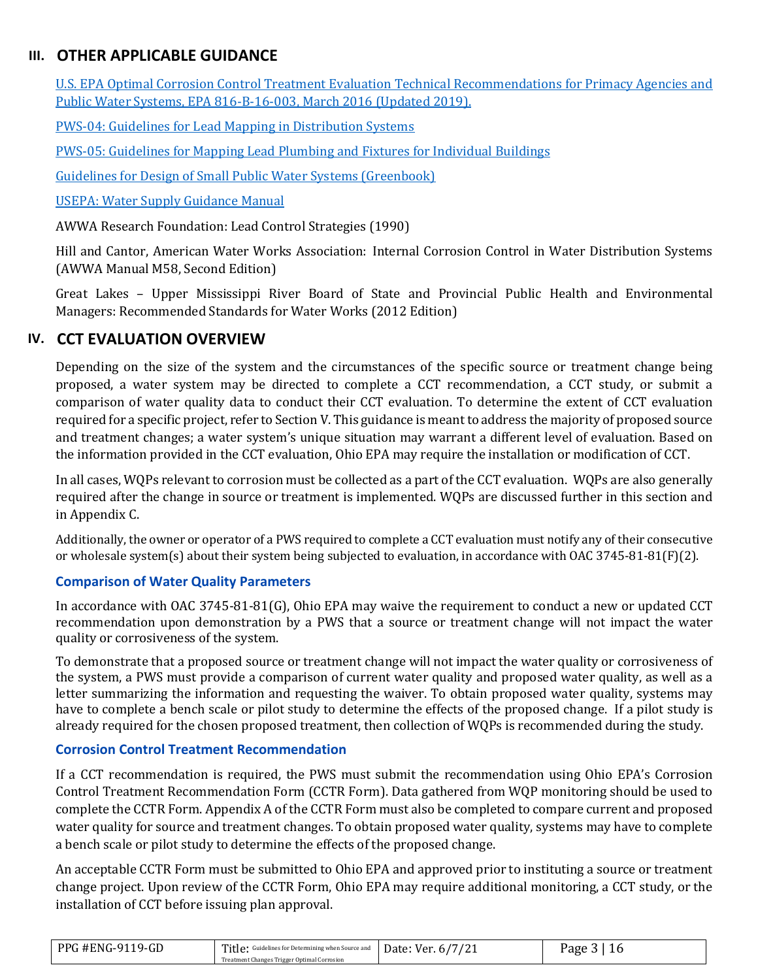# **III. OTHER APPLICABLE GUIDANCE**

[U.S. EPA Optimal Corrosion Control Treatment Evaluation Technical Recommendations for Primacy Agencies and](https://www.epa.gov/sites/production/files/2016-03/documents/occtmarch2016.pdf)  [Public Water Systems, EPA 816-B-16-003, March 2016](https://www.epa.gov/sites/production/files/2016-03/documents/occtmarch2016.pdf) (Updated 2019).

[PWS-04: Guidelines for Lead Mapping in Distribution Systems](https://epa.ohio.gov/Portals/28/documents/pws/PWS-04-001_01-06-2017.pdf) 

[PWS-05: Guidelines for Mapping Lead Plumbing and Fixtures for Individual Buildings](https://epa.ohio.gov/Portals/28/documents/pws/PWS-05-001_01-06-2017.pdf)

[Guidelines for Design of Small Public Water Systems \(Greenbook\)](https://epa.ohio.gov/portals/28/documents/engineering/greenbook.pdf)

[USEPA: Water Supply](https://www.epa.gov/dwreginfo/public-water-system-supervision-program-water-supply-guidance-manual) Guidance Manual

AWWA Research Foundation: Lead Control Strategies (1990)

Hill and Cantor, American Water Works Association: Internal Corrosion Control in Water Distribution Systems (AWWA Manual M58, Second Edition)

Great Lakes – Upper Mississippi River Board of State and Provincial Public Health and Environmental Managers: Recommended Standards for Water Works (2012 Edition)

### **IV. CCT EVALUATION OVERVIEW**

Depending on the size of the system and the circumstances of the specific source or treatment change being proposed, a water system may be directed to complete a CCT recommendation, a CCT study, or submit a comparison of water quality data to conduct their CCT evaluation. To determine the extent of CCT evaluation required for a specific project, refer to Section V. This guidance is meant to address the majority of proposed source and treatment changes; a water system's unique situation may warrant a different level of evaluation. Based on the information provided in the CCT evaluation, Ohio EPA may require the installation or modification of CCT.

In all cases, WQPs relevant to corrosion must be collected as a part of the CCT evaluation. WQPs are also generally required after the change in source or treatment is implemented. WQPs are discussed further in this section and in Appendix C.

Additionally, the owner or operator of a PWS required to complete a CCT evaluation must notify any of their consecutive or wholesale system(s) about their system being subjected to evaluation, in accordance with OAC 3745-81-81(F)(2).

#### **Comparison of Water Quality Parameters**

In accordance with OAC 3745-81-81(G), Ohio EPA may waive the requirement to conduct a new or updated CCT recommendation upon demonstration by a PWS that a source or treatment change will not impact the water quality or corrosiveness of the system.

To demonstrate that a proposed source or treatment change will not impact the water quality or corrosiveness of the system, a PWS must provide a comparison of current water quality and proposed water quality, as well as a letter summarizing the information and requesting the waiver. To obtain proposed water quality, systems may have to complete a bench scale or pilot study to determine the effects of the proposed change. If a pilot study is already required for the chosen proposed treatment, then collection of WQPs is recommended during the study.

#### **Corrosion Control Treatment Recommendation**

If a CCT recommendation is required, the PWS must submit the recommendation using Ohio EPA's Corrosion Control Treatment Recommendation Form (CCTR Form). Data gathered from WQP monitoring should be used to complete the CCTR Form. Appendix A of the CCTR Form must also be completed to compare current and proposed water quality for source and treatment changes. To obtain proposed water quality, systems may have to complete a bench scale or pilot study to determine the effects of the proposed change.

An acceptable CCTR Form must be submitted to Ohio EPA and approved prior to instituting a source or treatment change project. Upon review of the CCTR Form, Ohio EPA may require additional monitoring, a CCT study, or the installation of CCT before issuing plan approval.

| <b>PPG #ENG-9119-GD</b><br>Title:<br>Guidelines for Determining when Source and |                                             | Date: Ver. 6/7 | Page |
|---------------------------------------------------------------------------------|---------------------------------------------|----------------|------|
|                                                                                 | Treatment Changes Trigger Optimal Corrosion |                |      |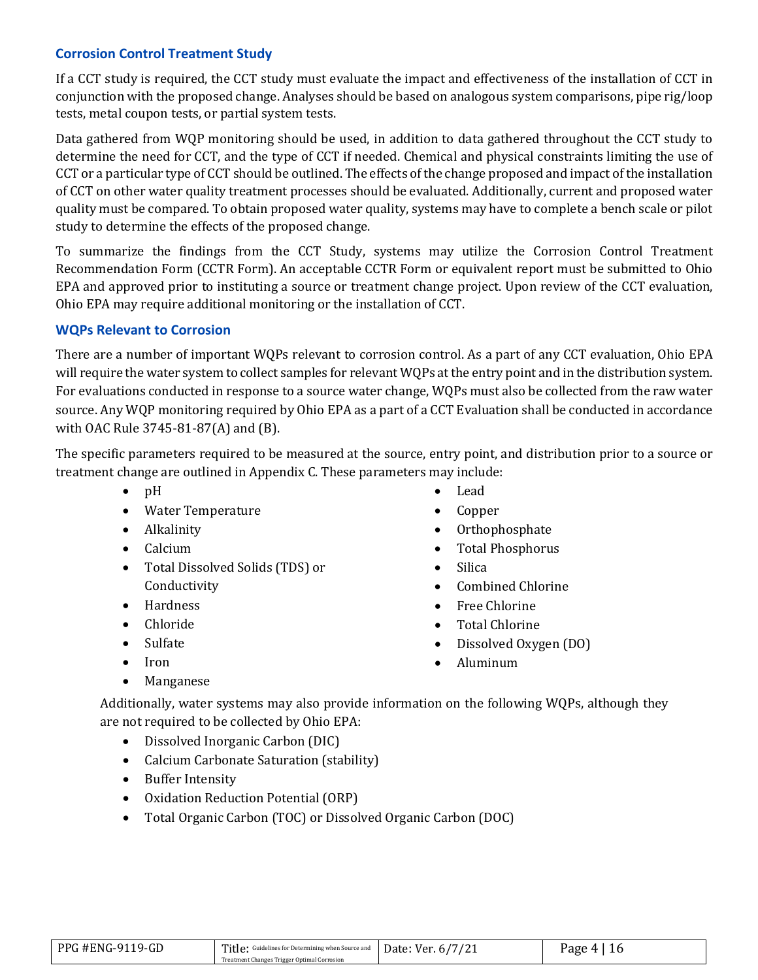#### **Corrosion Control Treatment Study**

If a CCT study is required, the CCT study must evaluate the impact and effectiveness of the installation of CCT in conjunction with the proposed change. Analyses should be based on analogous system comparisons, pipe rig/loop tests, metal coupon tests, or partial system tests.

Data gathered from WQP monitoring should be used, in addition to data gathered throughout the CCT study to determine the need for CCT, and the type of CCT if needed. Chemical and physical constraints limiting the use of CCT or a particular type of CCT should be outlined. The effects of the change proposed and impact of the installation of CCT on other water quality treatment processes should be evaluated. Additionally, current and proposed water quality must be compared. To obtain proposed water quality, systems may have to complete a bench scale or pilot study to determine the effects of the proposed change.

To summarize the findings from the CCT Study, systems may utilize the Corrosion Control Treatment Recommendation Form (CCTR Form). An acceptable CCTR Form or equivalent report must be submitted to Ohio EPA and approved prior to instituting a source or treatment change project. Upon review of the CCT evaluation, Ohio EPA may require additional monitoring or the installation of CCT.

#### **WQPs Relevant to Corrosion**

There are a number of important WQPs relevant to corrosion control. As a part of any CCT evaluation, Ohio EPA will require the water system to collect samples for relevant WQPs at the entry point and in the distribution system. For evaluations conducted in response to a source water change, WQPs must also be collected from the raw water source. Any WQP monitoring required by Ohio EPA as a part of a CCT Evaluation shall be conducted in accordance with OAC Rule 3745-81-87(A) and (B).

The specific parameters required to be measured at the source, entry point, and distribution prior to a source or treatment change are outlined in Appendix C. These parameters may include:

- pH
- Water Temperature
- Alkalinity
- Calcium
- Total Dissolved Solids (TDS) or Conductivity
- Hardness
- Chloride
- **Sulfate**
- Iron
- Manganese
- Lead
- Copper
- Orthophosphate
- Total Phosphorus
- Silica
- Combined Chlorine
- Free Chlorine
- Total Chlorine
- Dissolved Oxygen (DO)
- Aluminum
- Additionally, water systems may also provide information on the following WQPs, although they are not required to be collected by Ohio EPA:
	- Dissolved Inorganic Carbon (DIC)
	- Calcium Carbonate Saturation (stability)
	- Buffer Intensity
	- Oxidation Reduction Potential (ORP)
	- Total Organic Carbon (TOC) or Dissolved Organic Carbon (DOC)

| PPG #ENG-9119-GD | Title: Guidelines for Determining when Source and Date: Ver. 6/7/21 | <sup>o</sup> age 4. |  |
|------------------|---------------------------------------------------------------------|---------------------|--|
|                  | Treatment Changes Trigger Optimal Corrosion                         |                     |  |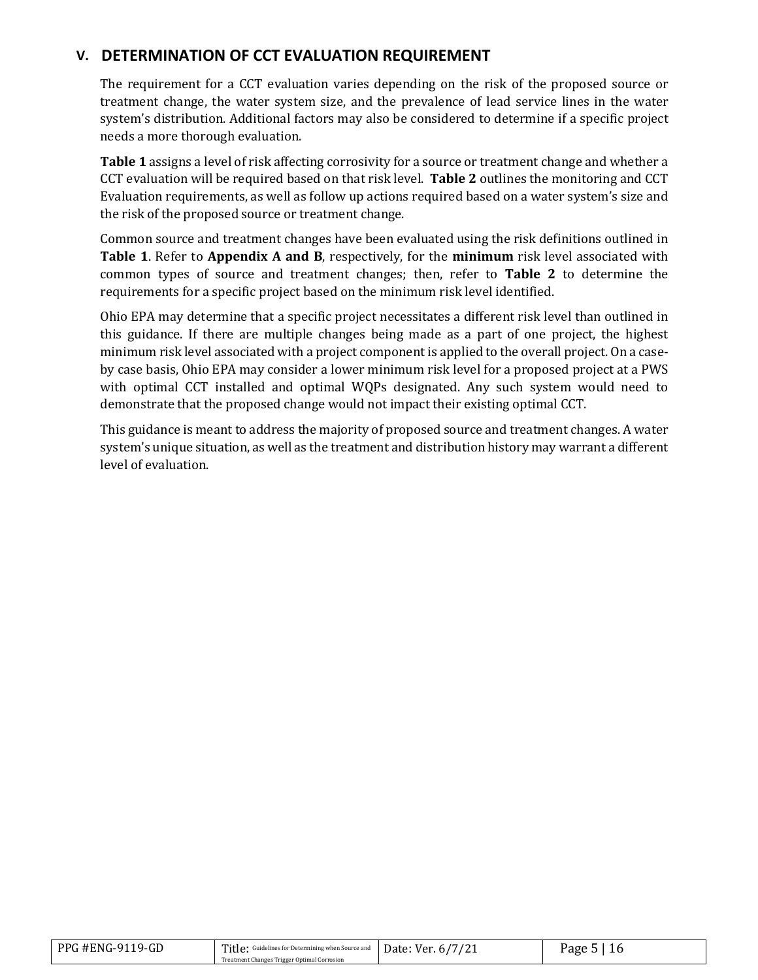## **V. DETERMINATION OF CCT EVALUATION REQUIREMENT**

The requirement for a CCT evaluation varies depending on the risk of the proposed source or treatment change, the water system size, and the prevalence of lead service lines in the water system's distribution. Additional factors may also be considered to determine if a specific project needs a more thorough evaluation.

**Table 1** assigns a level of risk affecting corrosivity for a source or treatment change and whether a CCT evaluation will be required based on that risk level. **Table 2** outlines the monitoring and CCT Evaluation requirements, as well as follow up actions required based on a water system's size and the risk of the proposed source or treatment change.

Common source and treatment changes have been evaluated using the risk definitions outlined in **Table 1**. Refer to **Appendix A and B**, respectively, for the **minimum** risk level associated with common types of source and treatment changes; then, refer to **Table 2** to determine the requirements for a specific project based on the minimum risk level identified.

Ohio EPA may determine that a specific project necessitates a different risk level than outlined in this guidance. If there are multiple changes being made as a part of one project, the highest minimum risk level associated with a project component is applied to the overall project. On a caseby case basis, Ohio EPA may consider a lower minimum risk level for a proposed project at a PWS with optimal CCT installed and optimal WQPs designated. Any such system would need to demonstrate that the proposed change would not impact their existing optimal CCT.

This guidance is meant to address the majority of proposed source and treatment changes. A water system's unique situation, as well as the treatment and distribution history may warrant a different level of evaluation.

| PPG #ENG-9119-GD | Title: Guidelines for Determining when Source and Date: Ver. 6/7/21 | Page 5 |
|------------------|---------------------------------------------------------------------|--------|
|                  | Treatment Changes Trigger Optimal Corrosion                         |        |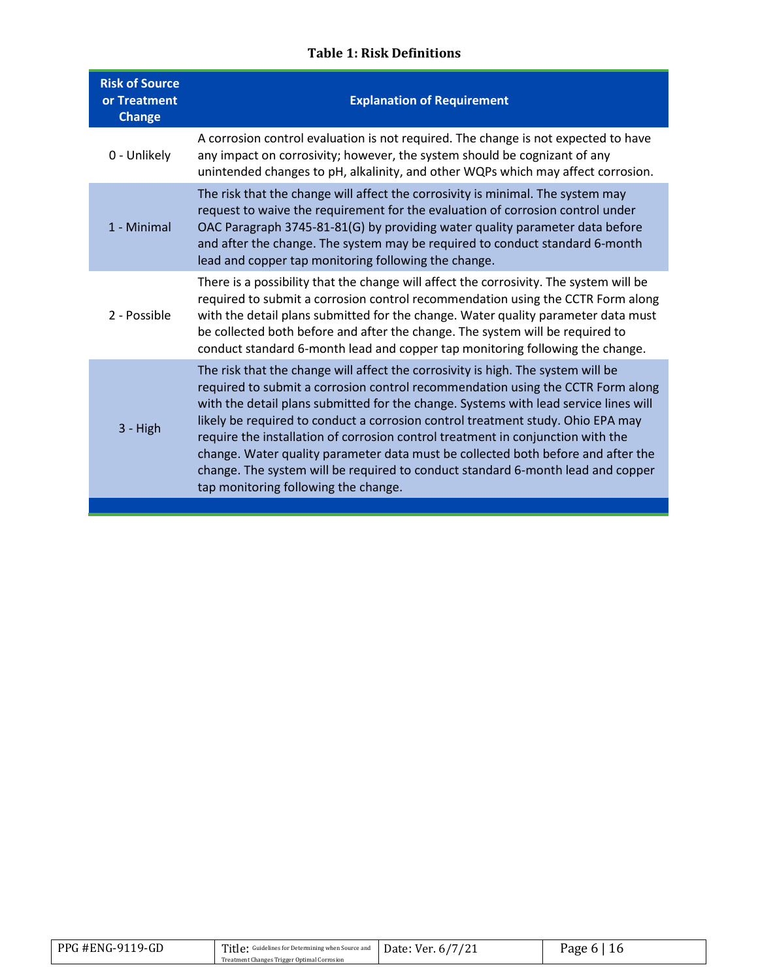### **Table 1: Risk Definitions**

| <b>Risk of Source</b><br>or Treatment<br><b>Change</b> | <b>Explanation of Requirement</b>                                                                                                                                                                                                                                                                                                                                                                                                                                                                                                                                                                                                                |
|--------------------------------------------------------|--------------------------------------------------------------------------------------------------------------------------------------------------------------------------------------------------------------------------------------------------------------------------------------------------------------------------------------------------------------------------------------------------------------------------------------------------------------------------------------------------------------------------------------------------------------------------------------------------------------------------------------------------|
| 0 - Unlikely                                           | A corrosion control evaluation is not required. The change is not expected to have<br>any impact on corrosivity; however, the system should be cognizant of any<br>unintended changes to pH, alkalinity, and other WQPs which may affect corrosion.                                                                                                                                                                                                                                                                                                                                                                                              |
| 1 - Minimal                                            | The risk that the change will affect the corrosivity is minimal. The system may<br>request to waive the requirement for the evaluation of corrosion control under<br>OAC Paragraph 3745-81-81(G) by providing water quality parameter data before<br>and after the change. The system may be required to conduct standard 6-month<br>lead and copper tap monitoring following the change.                                                                                                                                                                                                                                                        |
| 2 - Possible                                           | There is a possibility that the change will affect the corrosivity. The system will be<br>required to submit a corrosion control recommendation using the CCTR Form along<br>with the detail plans submitted for the change. Water quality parameter data must<br>be collected both before and after the change. The system will be required to<br>conduct standard 6-month lead and copper tap monitoring following the change.                                                                                                                                                                                                                 |
| 3 - High                                               | The risk that the change will affect the corrosivity is high. The system will be<br>required to submit a corrosion control recommendation using the CCTR Form along<br>with the detail plans submitted for the change. Systems with lead service lines will<br>likely be required to conduct a corrosion control treatment study. Ohio EPA may<br>require the installation of corrosion control treatment in conjunction with the<br>change. Water quality parameter data must be collected both before and after the<br>change. The system will be required to conduct standard 6-month lead and copper<br>tap monitoring following the change. |

| PPG #ENG-9119-GD | Title: Guidelines for Determining when Source and Date: Ver. 6/7/21 | Page 6 |
|------------------|---------------------------------------------------------------------|--------|
|                  | Treatment Changes Trigger Optimal Corrosion                         |        |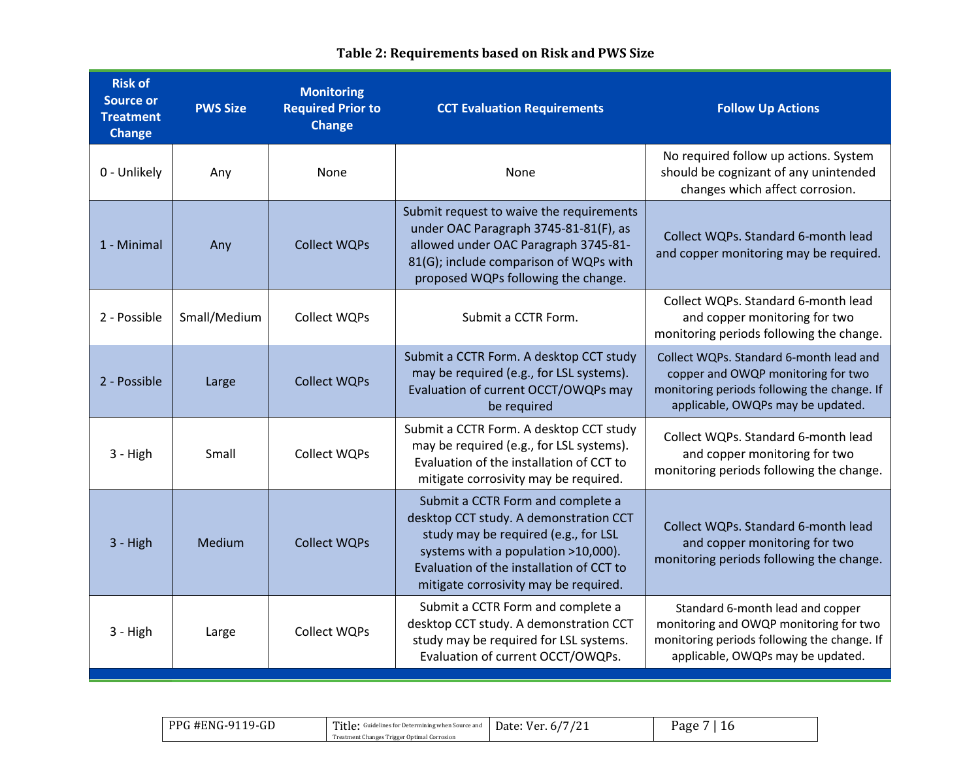| <b>Risk of</b><br><b>Source or</b><br><b>Treatment</b><br>Change | <b>PWS Size</b> | <b>Monitoring</b><br><b>Required Prior to</b><br><b>Change</b> | <b>CCT Evaluation Requirements</b>                                                                                                                                                                                                              | <b>Follow Up Actions</b>                                                                                                                                          |
|------------------------------------------------------------------|-----------------|----------------------------------------------------------------|-------------------------------------------------------------------------------------------------------------------------------------------------------------------------------------------------------------------------------------------------|-------------------------------------------------------------------------------------------------------------------------------------------------------------------|
| 0 - Unlikely                                                     | Any             | None                                                           | None                                                                                                                                                                                                                                            | No required follow up actions. System<br>should be cognizant of any unintended<br>changes which affect corrosion.                                                 |
| 1 - Minimal                                                      | Any             | <b>Collect WQPs</b>                                            | Submit request to waive the requirements<br>under OAC Paragraph 3745-81-81(F), as<br>allowed under OAC Paragraph 3745-81-<br>81(G); include comparison of WQPs with<br>proposed WQPs following the change.                                      | Collect WQPs. Standard 6-month lead<br>and copper monitoring may be required.                                                                                     |
| 2 - Possible                                                     | Small/Medium    | <b>Collect WQPs</b>                                            | Submit a CCTR Form.                                                                                                                                                                                                                             | Collect WQPs. Standard 6-month lead<br>and copper monitoring for two<br>monitoring periods following the change.                                                  |
| 2 - Possible                                                     | Large           | <b>Collect WQPs</b>                                            | Submit a CCTR Form. A desktop CCT study<br>may be required (e.g., for LSL systems).<br>Evaluation of current OCCT/OWQPs may<br>be required                                                                                                      | Collect WQPs. Standard 6-month lead and<br>copper and OWQP monitoring for two<br>monitoring periods following the change. If<br>applicable, OWQPs may be updated. |
| $3 - High$                                                       | Small           | <b>Collect WQPs</b>                                            | Submit a CCTR Form. A desktop CCT study<br>may be required (e.g., for LSL systems).<br>Evaluation of the installation of CCT to<br>mitigate corrosivity may be required.                                                                        | Collect WQPs. Standard 6-month lead<br>and copper monitoring for two<br>monitoring periods following the change.                                                  |
| 3 - High                                                         | Medium          | <b>Collect WQPs</b>                                            | Submit a CCTR Form and complete a<br>desktop CCT study. A demonstration CCT<br>study may be required (e.g., for LSL<br>systems with a population >10,000).<br>Evaluation of the installation of CCT to<br>mitigate corrosivity may be required. | Collect WQPs. Standard 6-month lead<br>and copper monitoring for two<br>monitoring periods following the change.                                                  |
| $3 - High$                                                       | Large           | <b>Collect WQPs</b>                                            | Submit a CCTR Form and complete a<br>desktop CCT study. A demonstration CCT<br>study may be required for LSL systems.<br>Evaluation of current OCCT/OWQPs.                                                                                      | Standard 6-month lead and copper<br>monitoring and OWQP monitoring for two<br>monitoring periods following the change. If<br>applicable, OWQPs may be updated.    |

# **Table 2: Requirements based on Risk and PWS Size**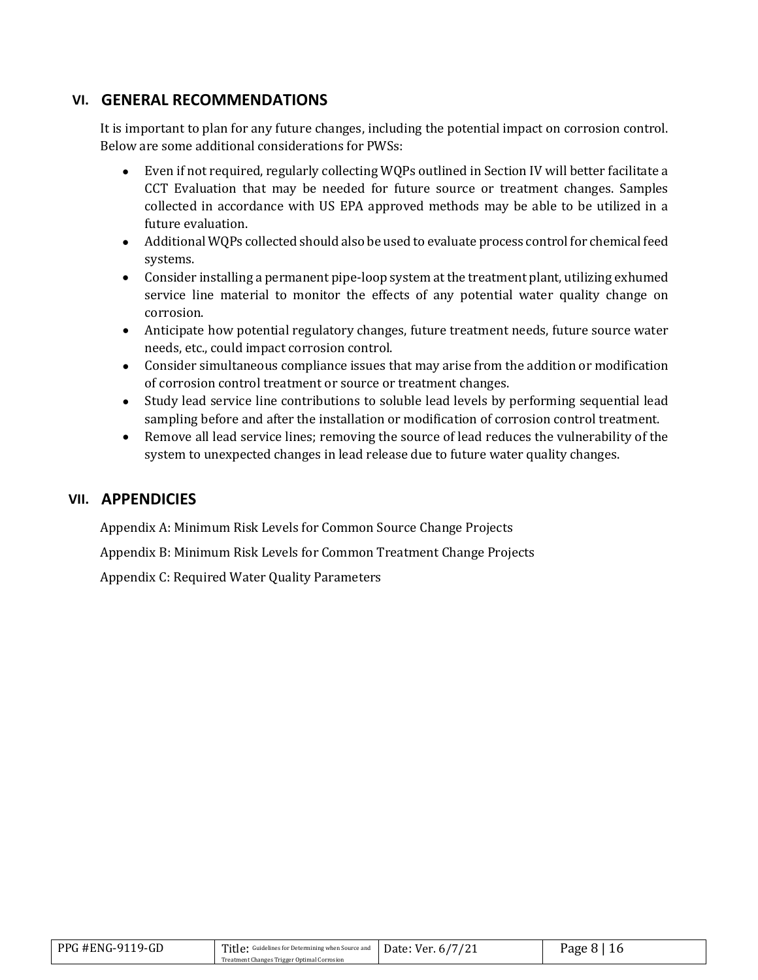### **VI. GENERAL RECOMMENDATIONS**

It is important to plan for any future changes, including the potential impact on corrosion control. Below are some additional considerations for PWSs:

- Even if not required, regularly collecting WQPs outlined in Section IV will better facilitate a CCT Evaluation that may be needed for future source or treatment changes. Samples collected in accordance with US EPA approved methods may be able to be utilized in a future evaluation.
- Additional WQPs collected should also be used to evaluate process control for chemical feed systems.
- Consider installing a permanent pipe-loop system at the treatment plant, utilizing exhumed service line material to monitor the effects of any potential water quality change on corrosion.
- Anticipate how potential regulatory changes, future treatment needs, future source water needs, etc., could impact corrosion control.
- Consider simultaneous compliance issues that may arise from the addition or modification of corrosion control treatment or source or treatment changes.
- Study lead service line contributions to soluble lead levels by performing sequential lead sampling before and after the installation or modification of corrosion control treatment.
- Remove all lead service lines; removing the source of lead reduces the vulnerability of the system to unexpected changes in lead release due to future water quality changes.

#### **VII. APPENDICIES**

Appendix A: Minimum Risk Levels for Common Source Change Projects

Appendix B: Minimum Risk Levels for Common Treatment Change Projects

Appendix C: Required Water Quality Parameters

| <b>PPG #ENG-9119-GD</b> | Title: Guidelines for Determining when Source and Date: Ver. 6/7/21 | Page 8 |
|-------------------------|---------------------------------------------------------------------|--------|
|                         | Treatment Changes Trigger Optimal Corrosion                         |        |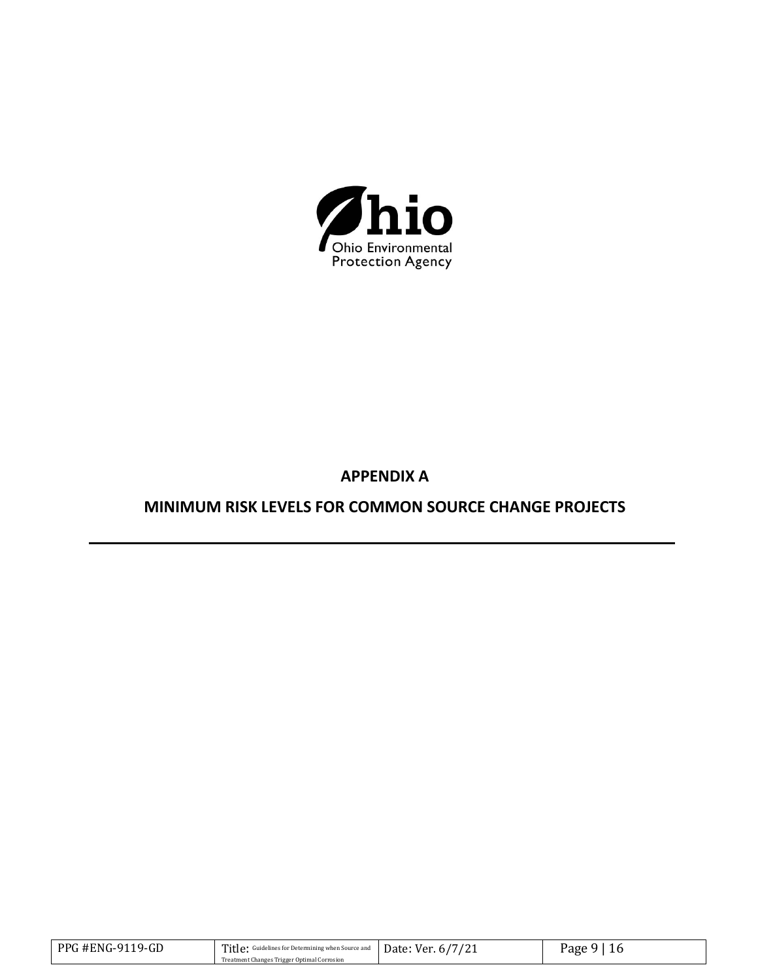

# **APPENDIX A**

# **MINIMUM RISK LEVELS FOR COMMON SOURCE CHANGE PROJECTS**

| PPG #ENG-9119-GD | Title: Guidelines for Determining when Source and Date: Ver. 6/7/21 | Page 9 |
|------------------|---------------------------------------------------------------------|--------|
|                  | Treatment Changes Trigger Optimal Corrosion                         |        |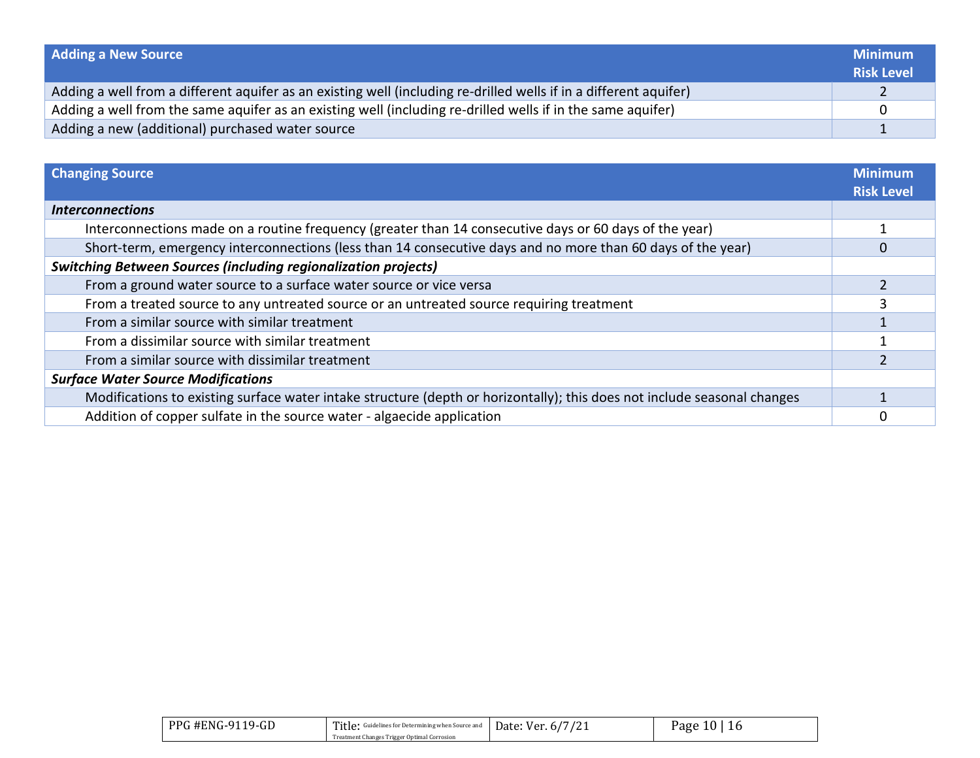| <b>Adding a New Source</b>                                                                                        | <b>Minimum</b><br><b>Risk Level</b> |
|-------------------------------------------------------------------------------------------------------------------|-------------------------------------|
| Adding a well from a different aquifer as an existing well (including re-drilled wells if in a different aquifer) |                                     |
| Adding a well from the same aquifer as an existing well (including re-drilled wells if in the same aquifer)       |                                     |
| Adding a new (additional) purchased water source                                                                  |                                     |

| <b>Changing Source</b>                                                                                                   | <b>Minimum</b><br><b>Risk Level</b> |
|--------------------------------------------------------------------------------------------------------------------------|-------------------------------------|
| <b>Interconnections</b>                                                                                                  |                                     |
| Interconnections made on a routine frequency (greater than 14 consecutive days or 60 days of the year)                   |                                     |
| Short-term, emergency interconnections (less than 14 consecutive days and no more than 60 days of the year)              |                                     |
| <b>Switching Between Sources (including regionalization projects)</b>                                                    |                                     |
| From a ground water source to a surface water source or vice versa                                                       |                                     |
| From a treated source to any untreated source or an untreated source requiring treatment                                 |                                     |
| From a similar source with similar treatment                                                                             |                                     |
| From a dissimilar source with similar treatment                                                                          |                                     |
| From a similar source with dissimilar treatment                                                                          |                                     |
| <b>Surface Water Source Modifications</b>                                                                                |                                     |
| Modifications to existing surface water intake structure (depth or horizontally); this does not include seasonal changes |                                     |
| Addition of copper sulfate in the source water - algaecide application                                                   |                                     |

| PPG #ENG-9119-GD | Title: Guidelines for Determining when Source and<br>Treatment Changes Trigger Optimal Corrosion | $\Box$ Date: Ver. 6/7/21 | 10<br>16<br>Page |
|------------------|--------------------------------------------------------------------------------------------------|--------------------------|------------------|
|                  |                                                                                                  |                          |                  |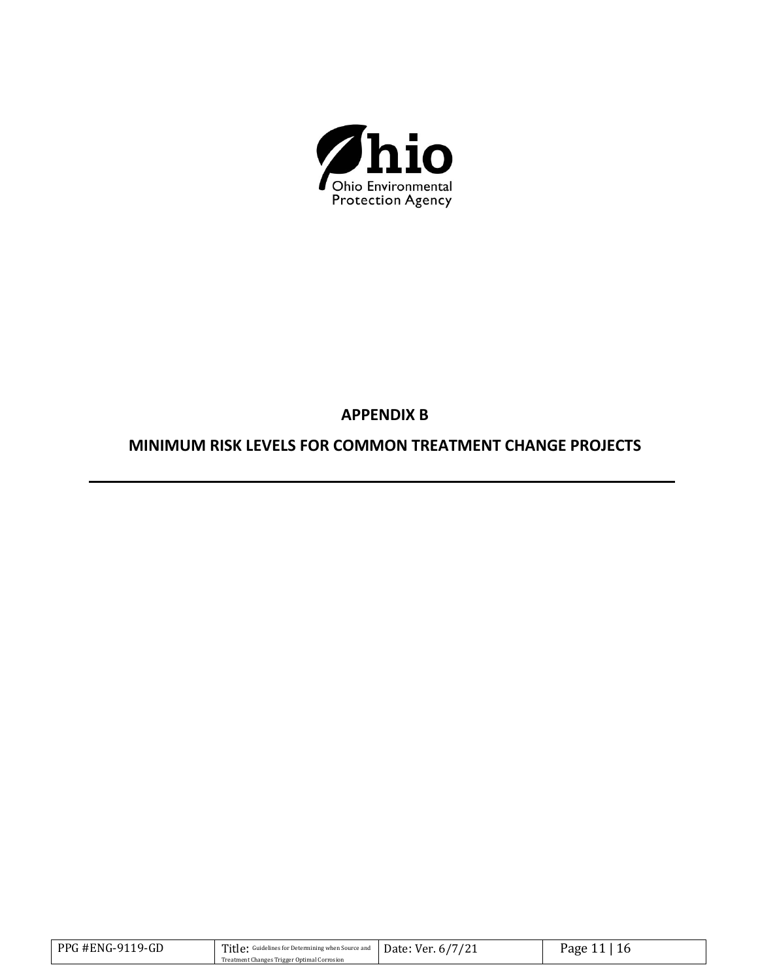

# **APPENDIX B**

# **MINIMUM RISK LEVELS FOR COMMON TREATMENT CHANGE PROJECTS**

| <b>PPG #ENG-9119-GD</b> | Title: Guidelines for Determining when Source and Date: Ver. 6/7/21 | Page 11 |
|-------------------------|---------------------------------------------------------------------|---------|
|                         | Treatment Changes Trigger Optimal Corrosion                         |         |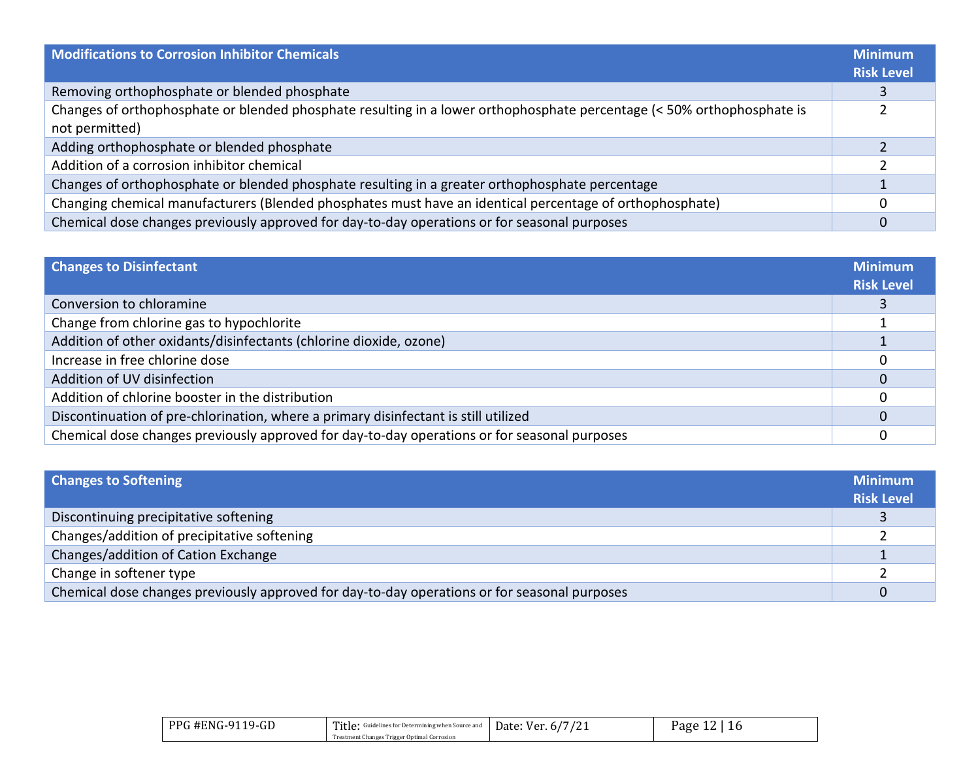| Modifications to Corrosion Inhibitor Chemicals                                                                                           | <b>Minimum</b><br><b>Risk Level</b> |
|------------------------------------------------------------------------------------------------------------------------------------------|-------------------------------------|
| Removing orthophosphate or blended phosphate                                                                                             |                                     |
| Changes of orthophosphate or blended phosphate resulting in a lower orthophosphate percentage (< 50% orthophosphate is<br>not permitted) |                                     |
| Adding orthophosphate or blended phosphate                                                                                               |                                     |
| Addition of a corrosion inhibitor chemical                                                                                               |                                     |
| Changes of orthophosphate or blended phosphate resulting in a greater orthophosphate percentage                                          |                                     |
| Changing chemical manufacturers (Blended phosphates must have an identical percentage of orthophosphate)                                 |                                     |
| Chemical dose changes previously approved for day-to-day operations or for seasonal purposes                                             |                                     |

| <b>Changes to Disinfectant</b>                                                               | <b>Minimum</b><br><b>Risk Level</b> |
|----------------------------------------------------------------------------------------------|-------------------------------------|
| Conversion to chloramine                                                                     |                                     |
| Change from chlorine gas to hypochlorite                                                     |                                     |
| Addition of other oxidants/disinfectants (chlorine dioxide, ozone)                           |                                     |
| Increase in free chlorine dose                                                               |                                     |
| Addition of UV disinfection                                                                  |                                     |
| Addition of chlorine booster in the distribution                                             |                                     |
| Discontinuation of pre-chlorination, where a primary disinfectant is still utilized          |                                     |
| Chemical dose changes previously approved for day-to-day operations or for seasonal purposes |                                     |

| <b>Changes to Softening</b>                                                                  | <b>Minimum</b>    |
|----------------------------------------------------------------------------------------------|-------------------|
|                                                                                              | <b>Risk Level</b> |
| Discontinuing precipitative softening                                                        |                   |
| Changes/addition of precipitative softening                                                  |                   |
| Changes/addition of Cation Exchange                                                          |                   |
| Change in softener type                                                                      |                   |
| Chemical dose changes previously approved for day-to-day operations or for seasonal purposes |                   |

| PPG #ENG-9119-GD | Title: Guidelines for Determining when Source and Date: Ver. 6/7/21 | Page<br>16 |
|------------------|---------------------------------------------------------------------|------------|
|                  | Treatment Changes Trigger Optimal Corrosion                         |            |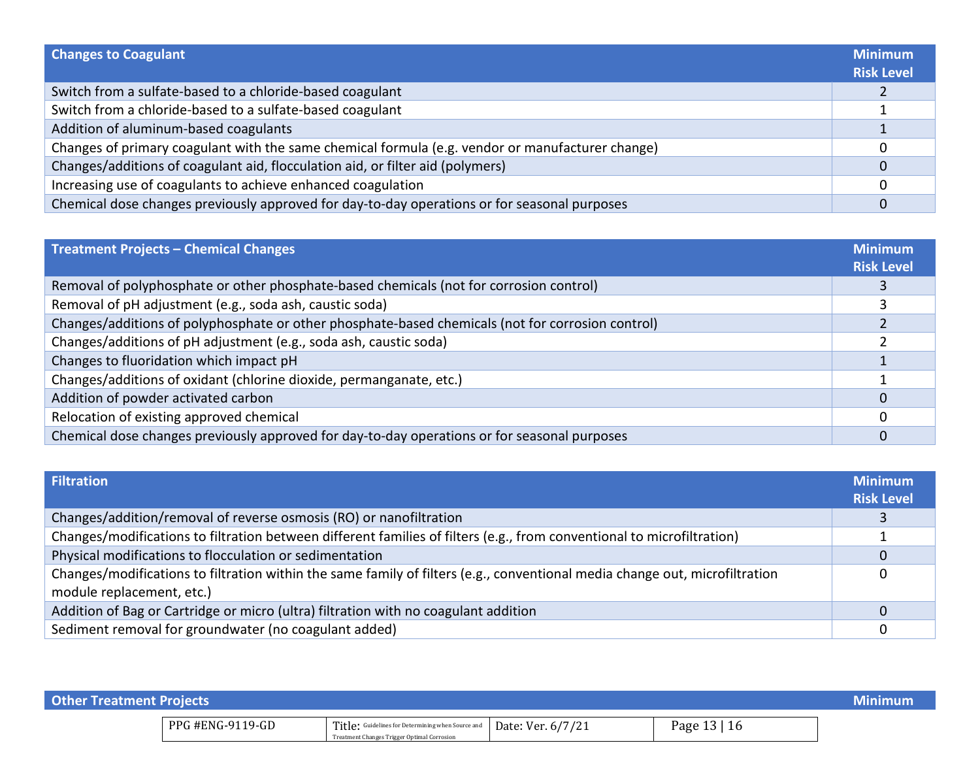| <b>Changes to Coagulant</b>                                                                      | <b>Minimum</b><br><b>Risk Level</b> |
|--------------------------------------------------------------------------------------------------|-------------------------------------|
| Switch from a sulfate-based to a chloride-based coagulant                                        |                                     |
| Switch from a chloride-based to a sulfate-based coagulant                                        |                                     |
| Addition of aluminum-based coagulants                                                            |                                     |
| Changes of primary coagulant with the same chemical formula (e.g. vendor or manufacturer change) |                                     |
| Changes/additions of coagulant aid, flocculation aid, or filter aid (polymers)                   |                                     |
| Increasing use of coagulants to achieve enhanced coagulation                                     |                                     |
| Chemical dose changes previously approved for day-to-day operations or for seasonal purposes     |                                     |

| <b>Treatment Projects - Chemical Changes</b>                                                      | <b>Minimum</b><br><b>Risk Level</b> |
|---------------------------------------------------------------------------------------------------|-------------------------------------|
| Removal of polyphosphate or other phosphate-based chemicals (not for corrosion control)           |                                     |
| Removal of pH adjustment (e.g., soda ash, caustic soda)                                           |                                     |
| Changes/additions of polyphosphate or other phosphate-based chemicals (not for corrosion control) |                                     |
| Changes/additions of pH adjustment (e.g., soda ash, caustic soda)                                 |                                     |
| Changes to fluoridation which impact pH                                                           |                                     |
| Changes/additions of oxidant (chlorine dioxide, permanganate, etc.)                               |                                     |
| Addition of powder activated carbon                                                               |                                     |
| Relocation of existing approved chemical                                                          |                                     |
| Chemical dose changes previously approved for day-to-day operations or for seasonal purposes      |                                     |

| <b>Filtration</b>                                                                                                           | <b>Minimum</b>    |
|-----------------------------------------------------------------------------------------------------------------------------|-------------------|
|                                                                                                                             | <b>Risk Level</b> |
| Changes/addition/removal of reverse osmosis (RO) or nanofiltration                                                          |                   |
| Changes/modifications to filtration between different families of filters (e.g., from conventional to microfiltration)      |                   |
| Physical modifications to flocculation or sedimentation                                                                     | 0                 |
| Changes/modifications to filtration within the same family of filters (e.g., conventional media change out, microfiltration |                   |
| module replacement, etc.)                                                                                                   |                   |
| Addition of Bag or Cartridge or micro (ultra) filtration with no coagulant addition                                         | 0                 |
| Sediment removal for groundwater (no coagulant added)                                                                       | 0                 |

| <b>Other Treatment Projects</b> |                  |                                                                                                                    |  | Minimum      |  |
|---------------------------------|------------------|--------------------------------------------------------------------------------------------------------------------|--|--------------|--|
|                                 | PPG #ENG-9119-GD | Title: Guidelines for Determining when Source and Date: Ver. 6/7/21<br>Treatment Changes Trigger Optimal Corrosion |  | Page 13   16 |  |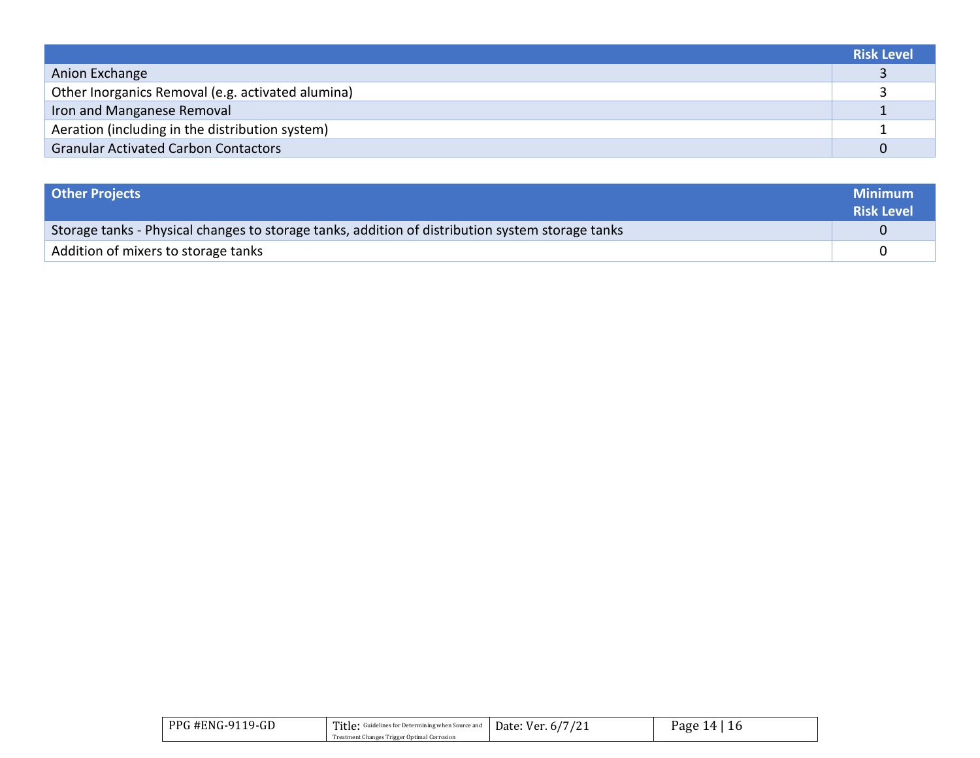|                                                   | <b>Risk Level</b> |
|---------------------------------------------------|-------------------|
| Anion Exchange                                    |                   |
| Other Inorganics Removal (e.g. activated alumina) |                   |
| Iron and Manganese Removal                        |                   |
| Aeration (including in the distribution system)   |                   |
| <b>Granular Activated Carbon Contactors</b>       |                   |

| <b>Other Projects</b>                                                                            | <b>Minimum</b><br><b>Risk Level</b> |
|--------------------------------------------------------------------------------------------------|-------------------------------------|
| Storage tanks - Physical changes to storage tanks, addition of distribution system storage tanks |                                     |
| Addition of mixers to storage tanks                                                              |                                     |

| .19-GD<br>PPG #ENG-91 | Title:<br>Guidelines for Determining when Source and | $\sqrt{2}$<br>Date:<br>ver. | I 4<br>Раое |
|-----------------------|------------------------------------------------------|-----------------------------|-------------|
|                       | Treatment Changes Trigger Optimal Corrosion          |                             |             |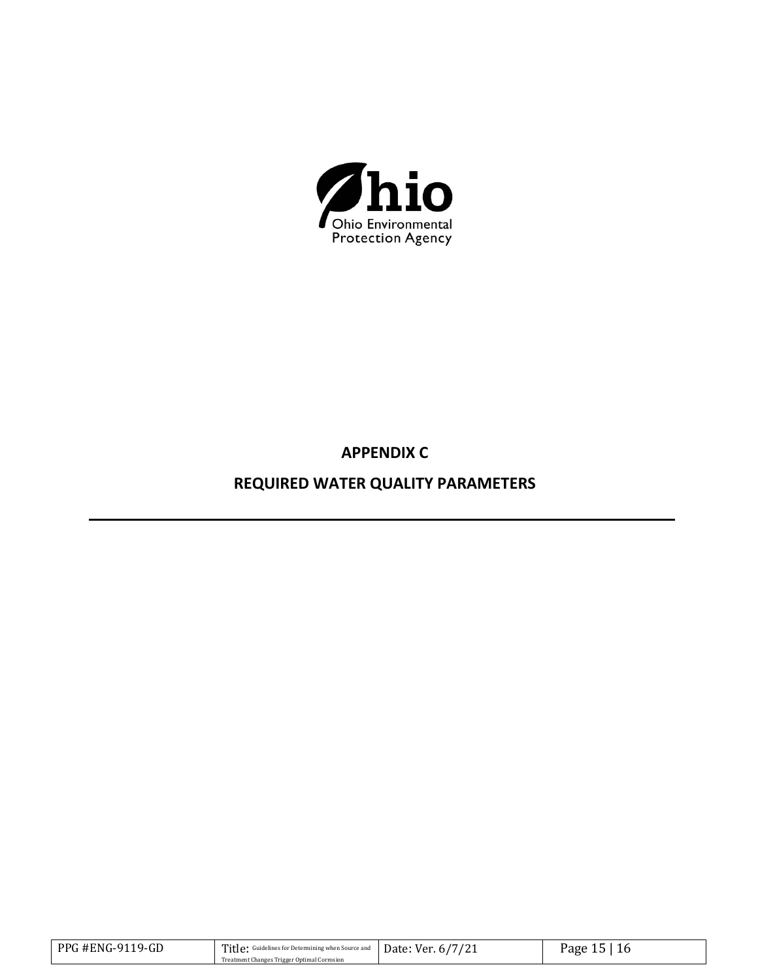

**APPENDIX C** 

**REQUIRED WATER QUALITY PARAMETERS**

| PPG #ENG-9119-GD | Title: Guidelines for Determining when Source and Date: Ver. 6/7/21 | Page |
|------------------|---------------------------------------------------------------------|------|
|                  | Treatment Changes Trigger Optimal Corrosion                         |      |